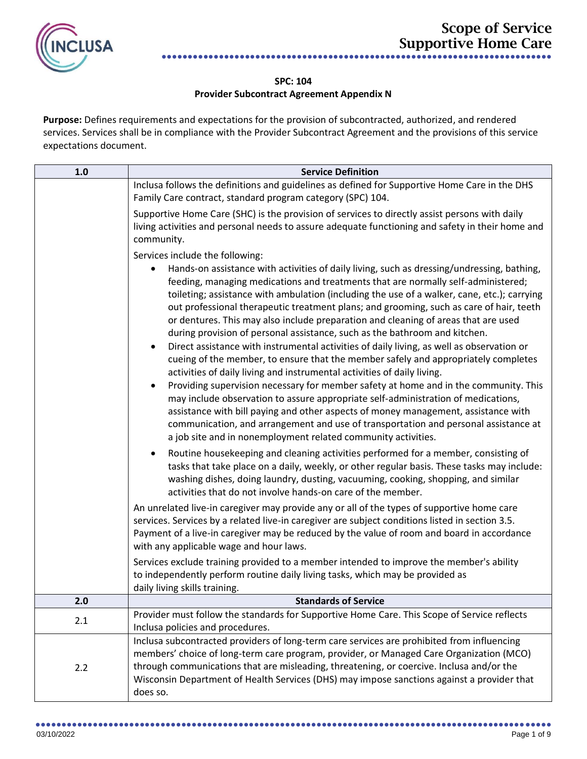

## **SPC: 104 Provider Subcontract Agreement Appendix N**

**Purpose:** Defines requirements and expectations for the provision of subcontracted, authorized, and rendered services. Services shall be in compliance with the Provider Subcontract Agreement and the provisions of this service expectations document.

| 1.0 | <b>Service Definition</b>                                                                                                                                                                                                                                                                                                                                                                                                                                                                                                                                                                                                                                                                                                                                                                                                                                                                                                                                                                                                                                                                                                                                                                                                                   |
|-----|---------------------------------------------------------------------------------------------------------------------------------------------------------------------------------------------------------------------------------------------------------------------------------------------------------------------------------------------------------------------------------------------------------------------------------------------------------------------------------------------------------------------------------------------------------------------------------------------------------------------------------------------------------------------------------------------------------------------------------------------------------------------------------------------------------------------------------------------------------------------------------------------------------------------------------------------------------------------------------------------------------------------------------------------------------------------------------------------------------------------------------------------------------------------------------------------------------------------------------------------|
|     | Inclusa follows the definitions and guidelines as defined for Supportive Home Care in the DHS                                                                                                                                                                                                                                                                                                                                                                                                                                                                                                                                                                                                                                                                                                                                                                                                                                                                                                                                                                                                                                                                                                                                               |
|     | Family Care contract, standard program category (SPC) 104.                                                                                                                                                                                                                                                                                                                                                                                                                                                                                                                                                                                                                                                                                                                                                                                                                                                                                                                                                                                                                                                                                                                                                                                  |
|     | Supportive Home Care (SHC) is the provision of services to directly assist persons with daily                                                                                                                                                                                                                                                                                                                                                                                                                                                                                                                                                                                                                                                                                                                                                                                                                                                                                                                                                                                                                                                                                                                                               |
|     | living activities and personal needs to assure adequate functioning and safety in their home and                                                                                                                                                                                                                                                                                                                                                                                                                                                                                                                                                                                                                                                                                                                                                                                                                                                                                                                                                                                                                                                                                                                                            |
|     | community.                                                                                                                                                                                                                                                                                                                                                                                                                                                                                                                                                                                                                                                                                                                                                                                                                                                                                                                                                                                                                                                                                                                                                                                                                                  |
|     | Services include the following:                                                                                                                                                                                                                                                                                                                                                                                                                                                                                                                                                                                                                                                                                                                                                                                                                                                                                                                                                                                                                                                                                                                                                                                                             |
|     | Hands-on assistance with activities of daily living, such as dressing/undressing, bathing,<br>feeding, managing medications and treatments that are normally self-administered;<br>toileting; assistance with ambulation (including the use of a walker, cane, etc.); carrying<br>out professional therapeutic treatment plans; and grooming, such as care of hair, teeth<br>or dentures. This may also include preparation and cleaning of areas that are used<br>during provision of personal assistance, such as the bathroom and kitchen.<br>Direct assistance with instrumental activities of daily living, as well as observation or<br>cueing of the member, to ensure that the member safely and appropriately completes<br>activities of daily living and instrumental activities of daily living.<br>Providing supervision necessary for member safety at home and in the community. This<br>٠<br>may include observation to assure appropriate self-administration of medications,<br>assistance with bill paying and other aspects of money management, assistance with<br>communication, and arrangement and use of transportation and personal assistance at<br>a job site and in nonemployment related community activities. |
|     | Routine housekeeping and cleaning activities performed for a member, consisting of<br>٠<br>tasks that take place on a daily, weekly, or other regular basis. These tasks may include:<br>washing dishes, doing laundry, dusting, vacuuming, cooking, shopping, and similar<br>activities that do not involve hands-on care of the member.                                                                                                                                                                                                                                                                                                                                                                                                                                                                                                                                                                                                                                                                                                                                                                                                                                                                                                   |
|     | An unrelated live-in caregiver may provide any or all of the types of supportive home care<br>services. Services by a related live-in caregiver are subject conditions listed in section 3.5.<br>Payment of a live-in caregiver may be reduced by the value of room and board in accordance<br>with any applicable wage and hour laws.                                                                                                                                                                                                                                                                                                                                                                                                                                                                                                                                                                                                                                                                                                                                                                                                                                                                                                      |
|     | Services exclude training provided to a member intended to improve the member's ability<br>to independently perform routine daily living tasks, which may be provided as<br>daily living skills training.                                                                                                                                                                                                                                                                                                                                                                                                                                                                                                                                                                                                                                                                                                                                                                                                                                                                                                                                                                                                                                   |
| 2.0 | <b>Standards of Service</b>                                                                                                                                                                                                                                                                                                                                                                                                                                                                                                                                                                                                                                                                                                                                                                                                                                                                                                                                                                                                                                                                                                                                                                                                                 |
| 2.1 | Provider must follow the standards for Supportive Home Care. This Scope of Service reflects<br>Inclusa policies and procedures.                                                                                                                                                                                                                                                                                                                                                                                                                                                                                                                                                                                                                                                                                                                                                                                                                                                                                                                                                                                                                                                                                                             |
| 2.2 | Inclusa subcontracted providers of long-term care services are prohibited from influencing<br>members' choice of long-term care program, provider, or Managed Care Organization (MCO)<br>through communications that are misleading, threatening, or coercive. Inclusa and/or the<br>Wisconsin Department of Health Services (DHS) may impose sanctions against a provider that<br>does so.                                                                                                                                                                                                                                                                                                                                                                                                                                                                                                                                                                                                                                                                                                                                                                                                                                                 |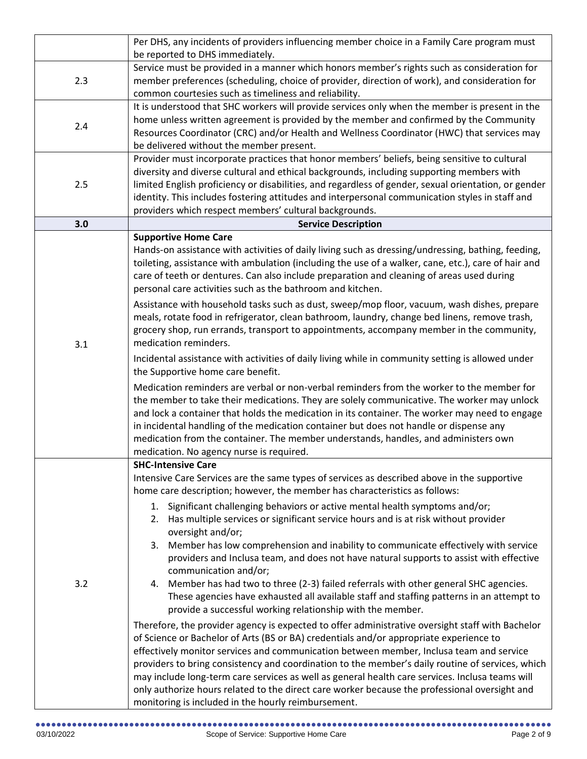|     | Per DHS, any incidents of providers influencing member choice in a Family Care program must                                                                                   |
|-----|-------------------------------------------------------------------------------------------------------------------------------------------------------------------------------|
|     | be reported to DHS immediately.                                                                                                                                               |
| 2.3 | Service must be provided in a manner which honors member's rights such as consideration for                                                                                   |
|     | member preferences (scheduling, choice of provider, direction of work), and consideration for                                                                                 |
|     | common courtesies such as timeliness and reliability.                                                                                                                         |
|     | It is understood that SHC workers will provide services only when the member is present in the                                                                                |
| 2.4 | home unless written agreement is provided by the member and confirmed by the Community                                                                                        |
|     | Resources Coordinator (CRC) and/or Health and Wellness Coordinator (HWC) that services may                                                                                    |
|     | be delivered without the member present.                                                                                                                                      |
|     | Provider must incorporate practices that honor members' beliefs, being sensitive to cultural                                                                                  |
|     | diversity and diverse cultural and ethical backgrounds, including supporting members with                                                                                     |
| 2.5 | limited English proficiency or disabilities, and regardless of gender, sexual orientation, or gender                                                                          |
|     | identity. This includes fostering attitudes and interpersonal communication styles in staff and                                                                               |
|     | providers which respect members' cultural backgrounds.                                                                                                                        |
| 3.0 | <b>Service Description</b>                                                                                                                                                    |
|     | <b>Supportive Home Care</b>                                                                                                                                                   |
|     | Hands-on assistance with activities of daily living such as dressing/undressing, bathing, feeding,                                                                            |
|     | toileting, assistance with ambulation (including the use of a walker, cane, etc.), care of hair and                                                                           |
|     | care of teeth or dentures. Can also include preparation and cleaning of areas used during<br>personal care activities such as the bathroom and kitchen.                       |
|     |                                                                                                                                                                               |
|     | Assistance with household tasks such as dust, sweep/mop floor, vacuum, wash dishes, prepare                                                                                   |
|     | meals, rotate food in refrigerator, clean bathroom, laundry, change bed linens, remove trash,                                                                                 |
|     | grocery shop, run errands, transport to appointments, accompany member in the community,<br>medication reminders.                                                             |
| 3.1 |                                                                                                                                                                               |
|     | Incidental assistance with activities of daily living while in community setting is allowed under                                                                             |
|     | the Supportive home care benefit.                                                                                                                                             |
|     | Medication reminders are verbal or non-verbal reminders from the worker to the member for                                                                                     |
|     | the member to take their medications. They are solely communicative. The worker may unlock                                                                                    |
|     | and lock a container that holds the medication in its container. The worker may need to engage                                                                                |
|     | in incidental handling of the medication container but does not handle or dispense any<br>medication from the container. The member understands, handles, and administers own |
|     | medication. No agency nurse is required.                                                                                                                                      |
|     | <b>SHC-Intensive Care</b>                                                                                                                                                     |
|     | Intensive Care Services are the same types of services as described above in the supportive                                                                                   |
|     | home care description; however, the member has characteristics as follows:                                                                                                    |
|     | Significant challenging behaviors or active mental health symptoms and/or;<br>1.                                                                                              |
|     | 2. Has multiple services or significant service hours and is at risk without provider                                                                                         |
|     | oversight and/or;                                                                                                                                                             |
|     | 3. Member has low comprehension and inability to communicate effectively with service                                                                                         |
|     | providers and Inclusa team, and does not have natural supports to assist with effective                                                                                       |
|     | communication and/or;                                                                                                                                                         |
| 3.2 | 4. Member has had two to three (2-3) failed referrals with other general SHC agencies.                                                                                        |
|     | These agencies have exhausted all available staff and staffing patterns in an attempt to                                                                                      |
|     | provide a successful working relationship with the member.                                                                                                                    |
|     | Therefore, the provider agency is expected to offer administrative oversight staff with Bachelor                                                                              |
|     | of Science or Bachelor of Arts (BS or BA) credentials and/or appropriate experience to                                                                                        |
|     | effectively monitor services and communication between member, Inclusa team and service                                                                                       |
|     | providers to bring consistency and coordination to the member's daily routine of services, which                                                                              |
|     | may include long-term care services as well as general health care services. Inclusa teams will                                                                               |
|     | only authorize hours related to the direct care worker because the professional oversight and                                                                                 |
|     | monitoring is included in the hourly reimbursement.                                                                                                                           |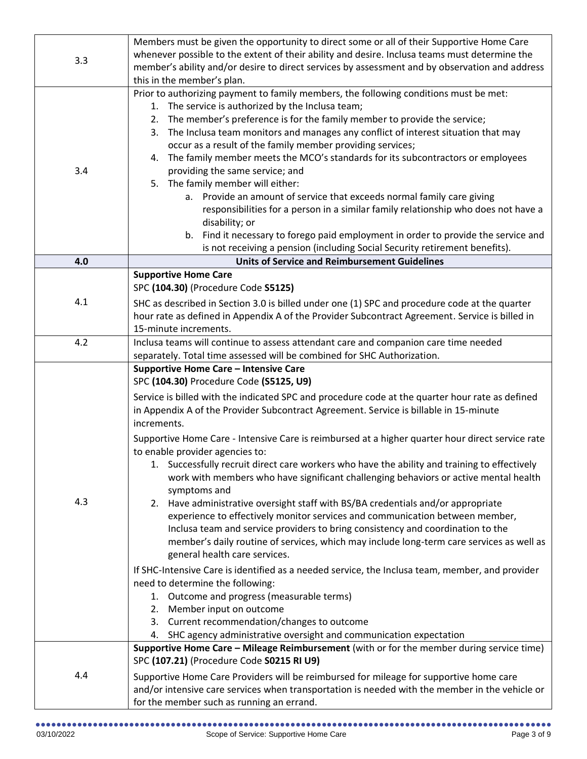| 3.3 | Members must be given the opportunity to direct some or all of their Supportive Home Care<br>whenever possible to the extent of their ability and desire. Inclusa teams must determine the<br>member's ability and/or desire to direct services by assessment and by observation and address<br>this in the member's plan.                                                                                                                                                                                                                                                                                                                                                                                                                                                                                                                                                                                                                                                                                                                                                                                                                                                                                          |
|-----|---------------------------------------------------------------------------------------------------------------------------------------------------------------------------------------------------------------------------------------------------------------------------------------------------------------------------------------------------------------------------------------------------------------------------------------------------------------------------------------------------------------------------------------------------------------------------------------------------------------------------------------------------------------------------------------------------------------------------------------------------------------------------------------------------------------------------------------------------------------------------------------------------------------------------------------------------------------------------------------------------------------------------------------------------------------------------------------------------------------------------------------------------------------------------------------------------------------------|
| 3.4 | Prior to authorizing payment to family members, the following conditions must be met:<br>1. The service is authorized by the Inclusa team;<br>2. The member's preference is for the family member to provide the service;<br>3. The Inclusa team monitors and manages any conflict of interest situation that may<br>occur as a result of the family member providing services;<br>4. The family member meets the MCO's standards for its subcontractors or employees<br>providing the same service; and<br>5. The family member will either:<br>a. Provide an amount of service that exceeds normal family care giving<br>responsibilities for a person in a similar family relationship who does not have a<br>disability; or<br>b. Find it necessary to forego paid employment in order to provide the service and<br>is not receiving a pension (including Social Security retirement benefits).                                                                                                                                                                                                                                                                                                                |
| 4.0 | <b>Units of Service and Reimbursement Guidelines</b>                                                                                                                                                                                                                                                                                                                                                                                                                                                                                                                                                                                                                                                                                                                                                                                                                                                                                                                                                                                                                                                                                                                                                                |
| 4.1 | <b>Supportive Home Care</b><br>SPC (104.30) (Procedure Code S5125)<br>SHC as described in Section 3.0 is billed under one (1) SPC and procedure code at the quarter<br>hour rate as defined in Appendix A of the Provider Subcontract Agreement. Service is billed in<br>15-minute increments.                                                                                                                                                                                                                                                                                                                                                                                                                                                                                                                                                                                                                                                                                                                                                                                                                                                                                                                      |
| 4.2 | Inclusa teams will continue to assess attendant care and companion care time needed<br>separately. Total time assessed will be combined for SHC Authorization.                                                                                                                                                                                                                                                                                                                                                                                                                                                                                                                                                                                                                                                                                                                                                                                                                                                                                                                                                                                                                                                      |
| 4.3 | Supportive Home Care - Intensive Care<br>SPC (104.30) Procedure Code (S5125, U9)<br>Service is billed with the indicated SPC and procedure code at the quarter hour rate as defined<br>in Appendix A of the Provider Subcontract Agreement. Service is billable in 15-minute<br>increments.<br>Supportive Home Care - Intensive Care is reimbursed at a higher quarter hour direct service rate<br>to enable provider agencies to:<br>1. Successfully recruit direct care workers who have the ability and training to effectively<br>work with members who have significant challenging behaviors or active mental health<br>symptoms and<br>2. Have administrative oversight staff with BS/BA credentials and/or appropriate<br>experience to effectively monitor services and communication between member,<br>Inclusa team and service providers to bring consistency and coordination to the<br>member's daily routine of services, which may include long-term care services as well as<br>general health care services.<br>If SHC-Intensive Care is identified as a needed service, the Inclusa team, member, and provider<br>need to determine the following:<br>1. Outcome and progress (measurable terms) |
| 4.4 | 2. Member input on outcome<br>3. Current recommendation/changes to outcome<br>4. SHC agency administrative oversight and communication expectation<br>Supportive Home Care - Mileage Reimbursement (with or for the member during service time)<br>SPC (107.21) (Procedure Code S0215 RI U9)<br>Supportive Home Care Providers will be reimbursed for mileage for supportive home care<br>and/or intensive care services when transportation is needed with the member in the vehicle or<br>for the member such as running an errand.                                                                                                                                                                                                                                                                                                                                                                                                                                                                                                                                                                                                                                                                               |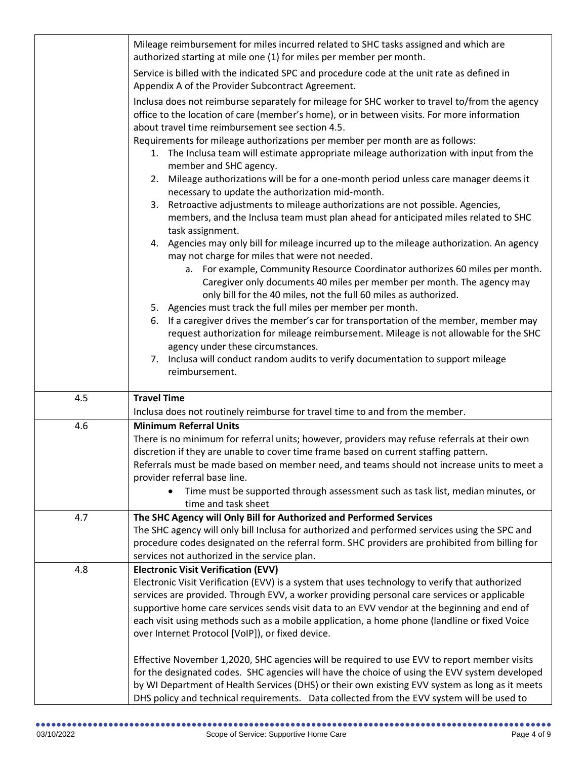|     | Mileage reimbursement for miles incurred related to SHC tasks assigned and which are<br>authorized starting at mile one (1) for miles per member per month.                                                                                     |
|-----|-------------------------------------------------------------------------------------------------------------------------------------------------------------------------------------------------------------------------------------------------|
|     |                                                                                                                                                                                                                                                 |
|     | Service is billed with the indicated SPC and procedure code at the unit rate as defined in<br>Appendix A of the Provider Subcontract Agreement.                                                                                                 |
|     | Inclusa does not reimburse separately for mileage for SHC worker to travel to/from the agency<br>office to the location of care (member's home), or in between visits. For more information<br>about travel time reimbursement see section 4.5. |
|     | Requirements for mileage authorizations per member per month are as follows:<br>1. The Inclusa team will estimate appropriate mileage authorization with input from the<br>member and SHC agency.                                               |
|     | Mileage authorizations will be for a one-month period unless care manager deems it<br>2.<br>necessary to update the authorization mid-month.                                                                                                    |
|     | Retroactive adjustments to mileage authorizations are not possible. Agencies,<br>3.<br>members, and the Inclusa team must plan ahead for anticipated miles related to SHC<br>task assignment.                                                   |
|     | 4. Agencies may only bill for mileage incurred up to the mileage authorization. An agency<br>may not charge for miles that were not needed.                                                                                                     |
|     | a. For example, Community Resource Coordinator authorizes 60 miles per month.<br>Caregiver only documents 40 miles per member per month. The agency may<br>only bill for the 40 miles, not the full 60 miles as authorized.                     |
|     | 5. Agencies must track the full miles per member per month.                                                                                                                                                                                     |
|     | 6. If a caregiver drives the member's car for transportation of the member, member may<br>request authorization for mileage reimbursement. Mileage is not allowable for the SHC<br>agency under these circumstances.                            |
|     | 7. Inclusa will conduct random audits to verify documentation to support mileage<br>reimbursement.                                                                                                                                              |
| 4.5 | <b>Travel Time</b><br>Inclusa does not routinely reimburse for travel time to and from the member.                                                                                                                                              |
| 4.6 | <b>Minimum Referral Units</b>                                                                                                                                                                                                                   |
|     | There is no minimum for referral units; however, providers may refuse referrals at their own                                                                                                                                                    |
|     | discretion if they are unable to cover time frame based on current staffing pattern.                                                                                                                                                            |
|     | Referrals must be made based on member need, and teams should not increase units to meet a                                                                                                                                                      |
|     | provider referral base line.                                                                                                                                                                                                                    |
|     | Time must be supported through assessment such as task list, median minutes, or                                                                                                                                                                 |
|     | time and task sheet                                                                                                                                                                                                                             |
| 4.7 | The SHC Agency will Only Bill for Authorized and Performed Services                                                                                                                                                                             |
|     | The SHC agency will only bill Inclusa for authorized and performed services using the SPC and                                                                                                                                                   |
|     | procedure codes designated on the referral form. SHC providers are prohibited from billing for                                                                                                                                                  |
|     | services not authorized in the service plan.                                                                                                                                                                                                    |
| 4.8 | <b>Electronic Visit Verification (EVV)</b>                                                                                                                                                                                                      |
|     | Electronic Visit Verification (EVV) is a system that uses technology to verify that authorized                                                                                                                                                  |
|     | services are provided. Through EVV, a worker providing personal care services or applicable                                                                                                                                                     |
|     | supportive home care services sends visit data to an EVV vendor at the beginning and end of<br>each visit using methods such as a mobile application, a home phone (landline or fixed Voice                                                     |
|     | over Internet Protocol [VoIP]), or fixed device.                                                                                                                                                                                                |
|     |                                                                                                                                                                                                                                                 |
|     | Effective November 1,2020, SHC agencies will be required to use EVV to report member visits                                                                                                                                                     |
|     | for the designated codes. SHC agencies will have the choice of using the EVV system developed                                                                                                                                                   |
|     | by WI Department of Health Services (DHS) or their own existing EVV system as long as it meets                                                                                                                                                  |
|     | DHS policy and technical requirements. Data collected from the EVV system will be used to                                                                                                                                                       |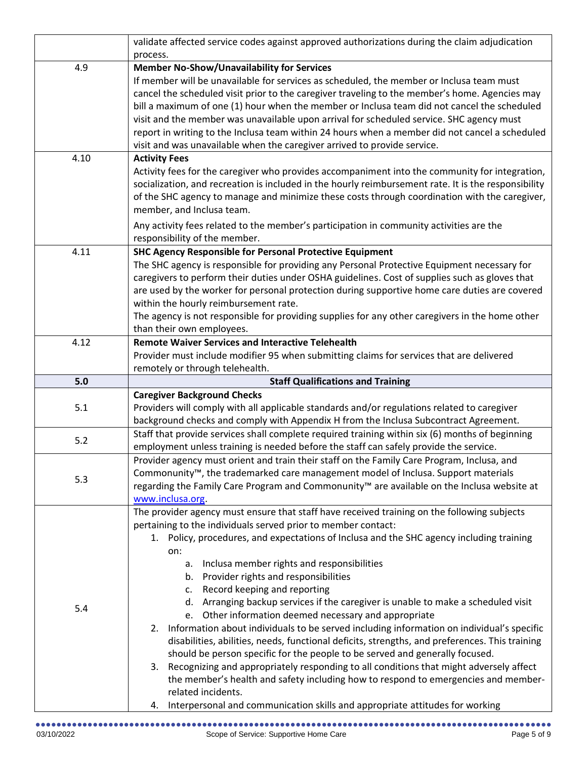|      | validate affected service codes against approved authorizations during the claim adjudication        |
|------|------------------------------------------------------------------------------------------------------|
|      | process.                                                                                             |
| 4.9  | <b>Member No-Show/Unavailability for Services</b>                                                    |
|      | If member will be unavailable for services as scheduled, the member or Inclusa team must             |
|      | cancel the scheduled visit prior to the caregiver traveling to the member's home. Agencies may       |
|      | bill a maximum of one (1) hour when the member or Inclusa team did not cancel the scheduled          |
|      | visit and the member was unavailable upon arrival for scheduled service. SHC agency must             |
|      | report in writing to the Inclusa team within 24 hours when a member did not cancel a scheduled       |
|      | visit and was unavailable when the caregiver arrived to provide service.                             |
| 4.10 | <b>Activity Fees</b>                                                                                 |
|      | Activity fees for the caregiver who provides accompaniment into the community for integration,       |
|      | socialization, and recreation is included in the hourly reimbursement rate. It is the responsibility |
|      | of the SHC agency to manage and minimize these costs through coordination with the caregiver,        |
|      | member, and Inclusa team.                                                                            |
|      | Any activity fees related to the member's participation in community activities are the              |
|      | responsibility of the member.                                                                        |
| 4.11 | <b>SHC Agency Responsible for Personal Protective Equipment</b>                                      |
|      | The SHC agency is responsible for providing any Personal Protective Equipment necessary for          |
|      | caregivers to perform their duties under OSHA guidelines. Cost of supplies such as gloves that       |
|      | are used by the worker for personal protection during supportive home care duties are covered        |
|      | within the hourly reimbursement rate.                                                                |
|      | The agency is not responsible for providing supplies for any other caregivers in the home other      |
|      | than their own employees.                                                                            |
| 4.12 | <b>Remote Waiver Services and Interactive Telehealth</b>                                             |
|      | Provider must include modifier 95 when submitting claims for services that are delivered             |
|      | remotely or through telehealth.                                                                      |
|      |                                                                                                      |
|      |                                                                                                      |
| 5.0  | <b>Staff Qualifications and Training</b>                                                             |
|      | <b>Caregiver Background Checks</b>                                                                   |
| 5.1  | Providers will comply with all applicable standards and/or regulations related to caregiver          |
|      | background checks and comply with Appendix H from the Inclusa Subcontract Agreement.                 |
| 5.2  | Staff that provide services shall complete required training within six (6) months of beginning      |
|      | employment unless training is needed before the staff can safely provide the service.                |
|      | Provider agency must orient and train their staff on the Family Care Program, Inclusa, and           |
| 5.3  | Commonunity <sup>™</sup> , the trademarked care management model of Inclusa. Support materials       |
|      | regarding the Family Care Program and Commonunity™ are available on the Inclusa website at           |
|      | www.inclusa.org.                                                                                     |
|      | The provider agency must ensure that staff have received training on the following subjects          |
|      | pertaining to the individuals served prior to member contact:                                        |
|      | 1. Policy, procedures, and expectations of Inclusa and the SHC agency including training<br>on:      |
|      | а.                                                                                                   |
|      | Inclusa member rights and responsibilities<br>b. Provider rights and responsibilities                |
|      | Record keeping and reporting<br>$\mathsf{C}$ .                                                       |
|      | d. Arranging backup services if the caregiver is unable to make a scheduled visit                    |
| 5.4  | e. Other information deemed necessary and appropriate                                                |
|      | 2. Information about individuals to be served including information on individual's specific         |
|      | disabilities, abilities, needs, functional deficits, strengths, and preferences. This training       |
|      | should be person specific for the people to be served and generally focused.                         |
|      | 3. Recognizing and appropriately responding to all conditions that might adversely affect            |
|      | the member's health and safety including how to respond to emergencies and member-                   |
|      | related incidents.                                                                                   |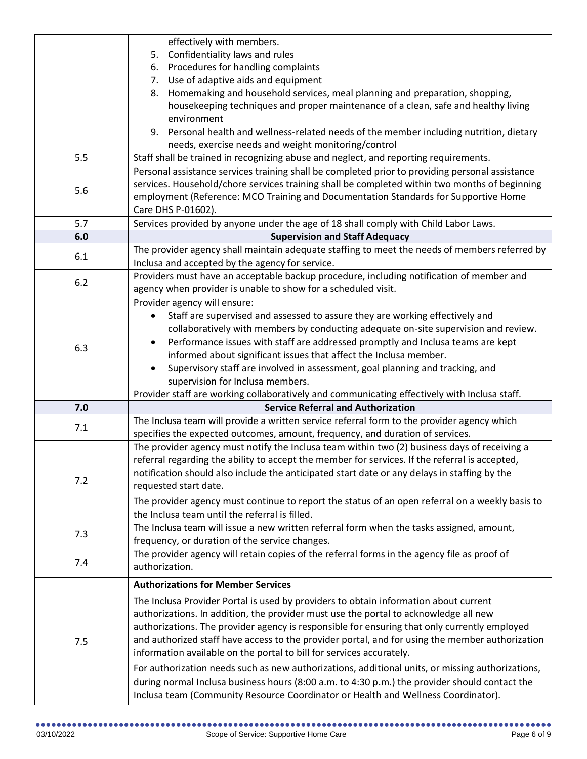|     | effectively with members.                                                                        |
|-----|--------------------------------------------------------------------------------------------------|
|     | 5. Confidentiality laws and rules                                                                |
|     | 6. Procedures for handling complaints                                                            |
|     | 7. Use of adaptive aids and equipment                                                            |
|     | Homemaking and household services, meal planning and preparation, shopping,<br>8.                |
|     | housekeeping techniques and proper maintenance of a clean, safe and healthy living               |
|     | environment                                                                                      |
|     | 9. Personal health and wellness-related needs of the member including nutrition, dietary         |
|     | needs, exercise needs and weight monitoring/control                                              |
| 5.5 | Staff shall be trained in recognizing abuse and neglect, and reporting requirements.             |
|     | Personal assistance services training shall be completed prior to providing personal assistance  |
|     | services. Household/chore services training shall be completed within two months of beginning    |
| 5.6 | employment (Reference: MCO Training and Documentation Standards for Supportive Home              |
|     | Care DHS P-01602).                                                                               |
| 5.7 | Services provided by anyone under the age of 18 shall comply with Child Labor Laws.              |
|     |                                                                                                  |
| 6.0 | <b>Supervision and Staff Adequacy</b>                                                            |
| 6.1 | The provider agency shall maintain adequate staffing to meet the needs of members referred by    |
|     | Inclusa and accepted by the agency for service.                                                  |
| 6.2 | Providers must have an acceptable backup procedure, including notification of member and         |
|     | agency when provider is unable to show for a scheduled visit.                                    |
|     | Provider agency will ensure:                                                                     |
|     | Staff are supervised and assessed to assure they are working effectively and                     |
|     | collaboratively with members by conducting adequate on-site supervision and review.              |
| 6.3 | Performance issues with staff are addressed promptly and Inclusa teams are kept<br>$\bullet$     |
|     | informed about significant issues that affect the Inclusa member.                                |
|     | Supervisory staff are involved in assessment, goal planning and tracking, and                    |
|     | supervision for Inclusa members.                                                                 |
|     | Provider staff are working collaboratively and communicating effectively with Inclusa staff.     |
| 7.0 | <b>Service Referral and Authorization</b>                                                        |
| 7.1 | The Inclusa team will provide a written service referral form to the provider agency which       |
|     | specifies the expected outcomes, amount, frequency, and duration of services.                    |
|     | The provider agency must notify the Inclusa team within two (2) business days of receiving a     |
|     | referral regarding the ability to accept the member for services. If the referral is accepted,   |
|     | notification should also include the anticipated start date or any delays in staffing by the     |
| 7.2 | requested start date.                                                                            |
|     | The provider agency must continue to report the status of an open referral on a weekly basis to  |
|     | the Inclusa team until the referral is filled.                                                   |
|     | The Inclusa team will issue a new written referral form when the tasks assigned, amount,         |
| 7.3 | frequency, or duration of the service changes.                                                   |
|     | The provider agency will retain copies of the referral forms in the agency file as proof of      |
| 7.4 | authorization.                                                                                   |
|     |                                                                                                  |
|     | <b>Authorizations for Member Services</b>                                                        |
|     | The Inclusa Provider Portal is used by providers to obtain information about current             |
|     | authorizations. In addition, the provider must use the portal to acknowledge all new             |
|     | authorizations. The provider agency is responsible for ensuring that only currently employed     |
| 7.5 | and authorized staff have access to the provider portal, and for using the member authorization  |
|     | information available on the portal to bill for services accurately.                             |
|     | For authorization needs such as new authorizations, additional units, or missing authorizations, |
|     | during normal Inclusa business hours (8:00 a.m. to 4:30 p.m.) the provider should contact the    |
|     |                                                                                                  |
|     | Inclusa team (Community Resource Coordinator or Health and Wellness Coordinator).                |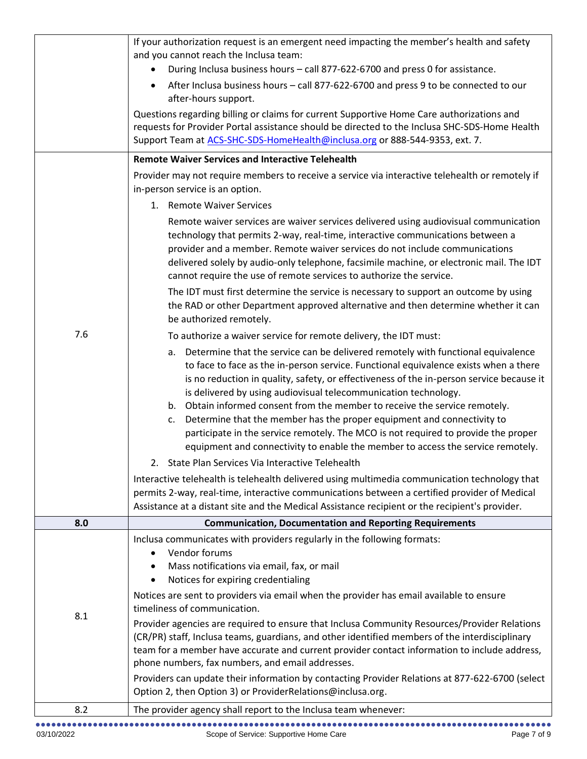|     | If your authorization request is an emergent need impacting the member's health and safety                                                                                                                                                                                                                                                                                                                                                                                                                                                                                                                                                                                               |
|-----|------------------------------------------------------------------------------------------------------------------------------------------------------------------------------------------------------------------------------------------------------------------------------------------------------------------------------------------------------------------------------------------------------------------------------------------------------------------------------------------------------------------------------------------------------------------------------------------------------------------------------------------------------------------------------------------|
|     | and you cannot reach the Inclusa team:                                                                                                                                                                                                                                                                                                                                                                                                                                                                                                                                                                                                                                                   |
|     | During Inclusa business hours - call 877-622-6700 and press 0 for assistance.                                                                                                                                                                                                                                                                                                                                                                                                                                                                                                                                                                                                            |
|     | After Inclusa business hours - call 877-622-6700 and press 9 to be connected to our<br>after-hours support.                                                                                                                                                                                                                                                                                                                                                                                                                                                                                                                                                                              |
|     | Questions regarding billing or claims for current Supportive Home Care authorizations and                                                                                                                                                                                                                                                                                                                                                                                                                                                                                                                                                                                                |
|     | requests for Provider Portal assistance should be directed to the Inclusa SHC-SDS-Home Health                                                                                                                                                                                                                                                                                                                                                                                                                                                                                                                                                                                            |
|     | Support Team at ACS-SHC-SDS-HomeHealth@inclusa.org or 888-544-9353, ext. 7.                                                                                                                                                                                                                                                                                                                                                                                                                                                                                                                                                                                                              |
|     | <b>Remote Waiver Services and Interactive Telehealth</b>                                                                                                                                                                                                                                                                                                                                                                                                                                                                                                                                                                                                                                 |
|     | Provider may not require members to receive a service via interactive telehealth or remotely if                                                                                                                                                                                                                                                                                                                                                                                                                                                                                                                                                                                          |
|     | in-person service is an option.                                                                                                                                                                                                                                                                                                                                                                                                                                                                                                                                                                                                                                                          |
|     | 1. Remote Waiver Services                                                                                                                                                                                                                                                                                                                                                                                                                                                                                                                                                                                                                                                                |
|     | Remote waiver services are waiver services delivered using audiovisual communication<br>technology that permits 2-way, real-time, interactive communications between a<br>provider and a member. Remote waiver services do not include communications<br>delivered solely by audio-only telephone, facsimile machine, or electronic mail. The IDT<br>cannot require the use of remote services to authorize the service.                                                                                                                                                                                                                                                                 |
|     | The IDT must first determine the service is necessary to support an outcome by using<br>the RAD or other Department approved alternative and then determine whether it can<br>be authorized remotely.                                                                                                                                                                                                                                                                                                                                                                                                                                                                                    |
| 7.6 | To authorize a waiver service for remote delivery, the IDT must:                                                                                                                                                                                                                                                                                                                                                                                                                                                                                                                                                                                                                         |
|     | Determine that the service can be delivered remotely with functional equivalence<br>а.<br>to face to face as the in-person service. Functional equivalence exists when a there<br>is no reduction in quality, safety, or effectiveness of the in-person service because it<br>is delivered by using audiovisual telecommunication technology.<br>Obtain informed consent from the member to receive the service remotely.<br>b.<br>Determine that the member has the proper equipment and connectivity to<br>c.<br>participate in the service remotely. The MCO is not required to provide the proper<br>equipment and connectivity to enable the member to access the service remotely. |
|     | 2. State Plan Services Via Interactive Telehealth                                                                                                                                                                                                                                                                                                                                                                                                                                                                                                                                                                                                                                        |
|     | Interactive telehealth is telehealth delivered using multimedia communication technology that<br>permits 2-way, real-time, interactive communications between a certified provider of Medical<br>Assistance at a distant site and the Medical Assistance recipient or the recipient's provider.                                                                                                                                                                                                                                                                                                                                                                                          |
| 8.0 | <b>Communication, Documentation and Reporting Requirements</b>                                                                                                                                                                                                                                                                                                                                                                                                                                                                                                                                                                                                                           |
| 8.1 | Inclusa communicates with providers regularly in the following formats:<br>Vendor forums<br>Mass notifications via email, fax, or mail<br>Notices for expiring credentialing<br>Notices are sent to providers via email when the provider has email available to ensure                                                                                                                                                                                                                                                                                                                                                                                                                  |
|     | timeliness of communication.                                                                                                                                                                                                                                                                                                                                                                                                                                                                                                                                                                                                                                                             |
|     | Provider agencies are required to ensure that Inclusa Community Resources/Provider Relations<br>(CR/PR) staff, Inclusa teams, guardians, and other identified members of the interdisciplinary<br>team for a member have accurate and current provider contact information to include address,<br>phone numbers, fax numbers, and email addresses.                                                                                                                                                                                                                                                                                                                                       |
|     | Providers can update their information by contacting Provider Relations at 877-622-6700 (select<br>Option 2, then Option 3) or ProviderRelations@inclusa.org.                                                                                                                                                                                                                                                                                                                                                                                                                                                                                                                            |
| 8.2 | The provider agency shall report to the Inclusa team whenever:                                                                                                                                                                                                                                                                                                                                                                                                                                                                                                                                                                                                                           |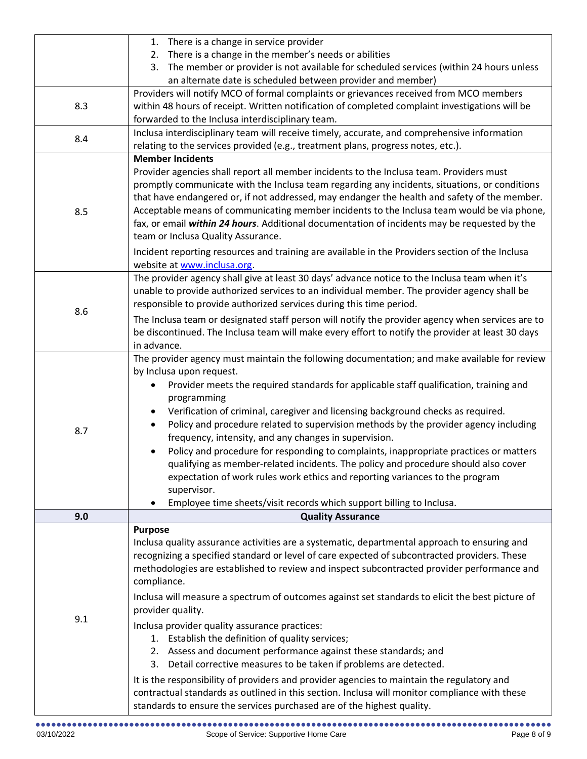|     | 1. There is a change in service provider                                                                                                                                        |
|-----|---------------------------------------------------------------------------------------------------------------------------------------------------------------------------------|
|     | 2. There is a change in the member's needs or abilities<br>3. The member or provider is not available for scheduled services (within 24 hours unless                            |
|     | an alternate date is scheduled between provider and member)                                                                                                                     |
|     | Providers will notify MCO of formal complaints or grievances received from MCO members                                                                                          |
| 8.3 | within 48 hours of receipt. Written notification of completed complaint investigations will be                                                                                  |
|     | forwarded to the Inclusa interdisciplinary team.                                                                                                                                |
| 8.4 | Inclusa interdisciplinary team will receive timely, accurate, and comprehensive information<br>relating to the services provided (e.g., treatment plans, progress notes, etc.). |
|     | <b>Member Incidents</b>                                                                                                                                                         |
|     | Provider agencies shall report all member incidents to the Inclusa team. Providers must                                                                                         |
|     | promptly communicate with the Inclusa team regarding any incidents, situations, or conditions                                                                                   |
|     | that have endangered or, if not addressed, may endanger the health and safety of the member.                                                                                    |
| 8.5 | Acceptable means of communicating member incidents to the Inclusa team would be via phone,                                                                                      |
|     | fax, or email within 24 hours. Additional documentation of incidents may be requested by the                                                                                    |
|     | team or Inclusa Quality Assurance.                                                                                                                                              |
|     | Incident reporting resources and training are available in the Providers section of the Inclusa                                                                                 |
|     | website at www.inclusa.org.<br>The provider agency shall give at least 30 days' advance notice to the Inclusa team when it's                                                    |
|     | unable to provide authorized services to an individual member. The provider agency shall be                                                                                     |
|     | responsible to provide authorized services during this time period.                                                                                                             |
| 8.6 | The Inclusa team or designated staff person will notify the provider agency when services are to                                                                                |
|     | be discontinued. The Inclusa team will make every effort to notify the provider at least 30 days                                                                                |
|     | in advance.                                                                                                                                                                     |
|     | The provider agency must maintain the following documentation; and make available for review                                                                                    |
|     | by Inclusa upon request.                                                                                                                                                        |
|     | Provider meets the required standards for applicable staff qualification, training and                                                                                          |
|     | programming<br>Verification of criminal, caregiver and licensing background checks as required.                                                                                 |
|     | Policy and procedure related to supervision methods by the provider agency including                                                                                            |
| 8.7 | frequency, intensity, and any changes in supervision.                                                                                                                           |
|     | Policy and procedure for responding to complaints, inappropriate practices or matters                                                                                           |
|     | qualifying as member-related incidents. The policy and procedure should also cover                                                                                              |
|     | expectation of work rules work ethics and reporting variances to the program                                                                                                    |
|     | supervisor.                                                                                                                                                                     |
|     | Employee time sheets/visit records which support billing to Inclusa.                                                                                                            |
| 9.0 | <b>Quality Assurance</b>                                                                                                                                                        |
|     | <b>Purpose</b><br>Inclusa quality assurance activities are a systematic, departmental approach to ensuring and                                                                  |
|     | recognizing a specified standard or level of care expected of subcontracted providers. These                                                                                    |
|     | methodologies are established to review and inspect subcontracted provider performance and                                                                                      |
| 9.1 | compliance.                                                                                                                                                                     |
|     | Inclusa will measure a spectrum of outcomes against set standards to elicit the best picture of                                                                                 |
|     | provider quality.                                                                                                                                                               |
|     | Inclusa provider quality assurance practices:                                                                                                                                   |
|     | 1. Establish the definition of quality services;                                                                                                                                |
|     | 2. Assess and document performance against these standards; and                                                                                                                 |
|     | 3. Detail corrective measures to be taken if problems are detected.                                                                                                             |
|     | It is the responsibility of providers and provider agencies to maintain the regulatory and                                                                                      |
|     | contractual standards as outlined in this section. Inclusa will monitor compliance with these                                                                                   |
|     | standards to ensure the services purchased are of the highest quality.                                                                                                          |